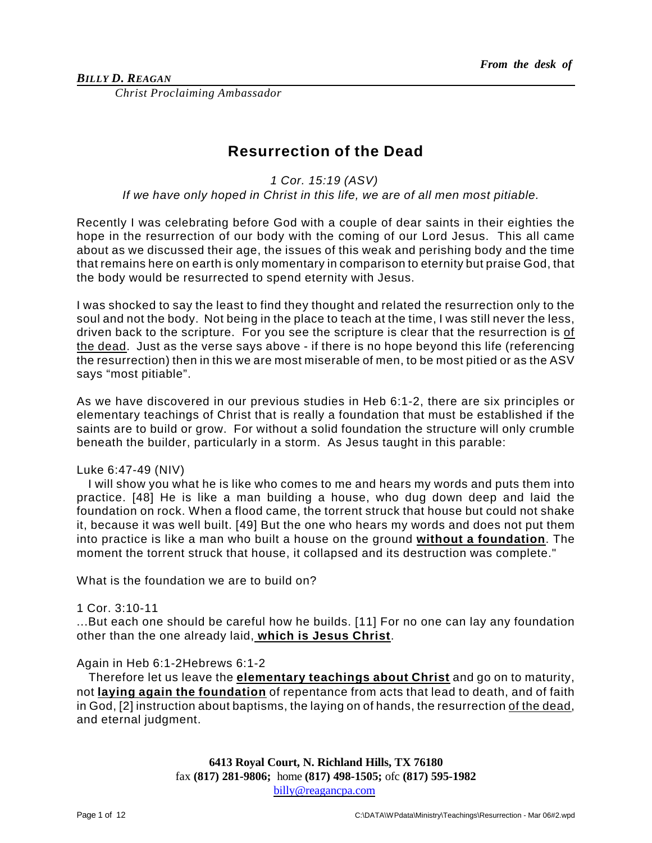*Christ Proclaiming Ambassador*

# **Resurrection of the Dead**

*1 Cor. 15:19 (ASV)* 

*If we have only hoped in Christ in this life, we are of all men most pitiable.* 

Recently I was celebrating before God with a couple of dear saints in their eighties the hope in the resurrection of our body with the coming of our Lord Jesus. This all came about as we discussed their age, the issues of this weak and perishing body and the time that remains here on earth is only momentary in comparison to eternity but praise God, that the body would be resurrected to spend eternity with Jesus.

I was shocked to say the least to find they thought and related the resurrection only to the soul and not the body. Not being in the place to teach at the time, I was still never the less, driven back to the scripture. For you see the scripture is clear that the resurrection is of the dead. Just as the verse says above - if there is no hope beyond this life (referencing the resurrection) then in this we are most miserable of men, to be most pitied or as the ASV says "most pitiable".

As we have discovered in our previous studies in Heb 6:1-2, there are six principles or elementary teachings of Christ that is really a foundation that must be established if the saints are to build or grow. For without a solid foundation the structure will only crumble beneath the builder, particularly in a storm. As Jesus taught in this parable:

# Luke 6:47-49 (NIV)

I will show you what he is like who comes to me and hears my words and puts them into practice. [48] He is like a man building a house, who dug down deep and laid the foundation on rock. When a flood came, the torrent struck that house but could not shake it, because it was well built. [49] But the one who hears my words and does not put them into practice is like a man who built a house on the ground **without a foundation**. The moment the torrent struck that house, it collapsed and its destruction was complete."

What is the foundation we are to build on?

### 1 Cor. 3:10-11

...But each one should be careful how he builds. [11] For no one can lay any foundation other than the one already laid, **which is Jesus Christ**.

# Again in Heb 6:1-2Hebrews 6:1-2

Therefore let us leave the **elementary teachings about Christ** and go on to maturity, not **laying again the foundation** of repentance from acts that lead to death, and of faith in God, [2] instruction about baptisms, the laying on of hands, the resurrection of the dead, and eternal judgment.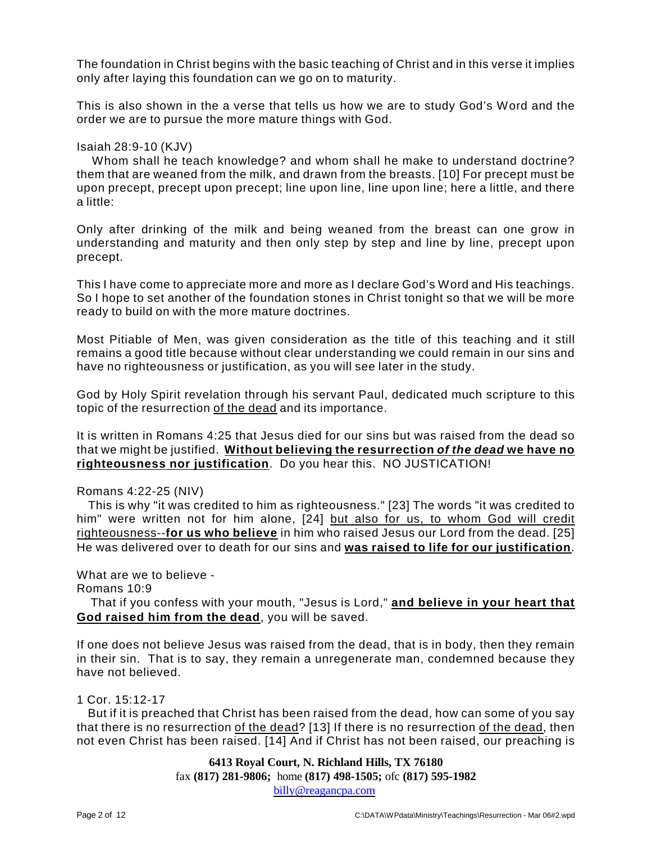The foundation in Christ begins with the basic teaching of Christ and in this verse it implies only after laying this foundation can we go on to maturity.

This is also shown in the a verse that tells us how we are to study God's Word and the order we are to pursue the more mature things with God.

### Isaiah 28:9-10 (KJV)

Whom shall he teach knowledge? and whom shall he make to understand doctrine? them that are weaned from the milk, and drawn from the breasts. [10] For precept must be upon precept, precept upon precept; line upon line, line upon line; here a little, and there a little:

Only after drinking of the milk and being weaned from the breast can one grow in understanding and maturity and then only step by step and line by line, precept upon precept.

This I have come to appreciate more and more as I declare God's Word and His teachings. So I hope to set another of the foundation stones in Christ tonight so that we will be more ready to build on with the more mature doctrines.

Most Pitiable of Men, was given consideration as the title of this teaching and it still remains a good title because without clear understanding we could remain in our sins and have no righteousness or justification, as you will see later in the study.

God by Holy Spirit revelation through his servant Paul, dedicated much scripture to this topic of the resurrection of the dead and its importance.

It is written in Romans 4:25 that Jesus died for our sins but was raised from the dead so that we might be justified. **Without believing the resurrection** *of the dead* **we have no righteousness nor justification**. Do you hear this. NO JUSTICATION!

Romans 4:22-25 (NIV)

This is why "it was credited to him as righteousness." [23] The words "it was credited to him" were written not for him alone, [24] but also for us, to whom God will credit righteousness--**for us who believe** in him who raised Jesus our Lord from the dead. [25] He was delivered over to death for our sins and **was raised to life for our justification**.

What are we to believe - Romans 10:9

That if you confess with your mouth, "Jesus is Lord," **and believe in your heart that God raised him from the dead**, you will be saved.

If one does not believe Jesus was raised from the dead, that is in body, then they remain in their sin. That is to say, they remain a unregenerate man, condemned because they have not believed.

1 Cor. 15:12-17

But if it is preached that Christ has been raised from the dead, how can some of you say that there is no resurrection of the dead? [13] If there is no resurrection of the dead, then not even Christ has been raised. [14] And if Christ has not been raised, our preaching is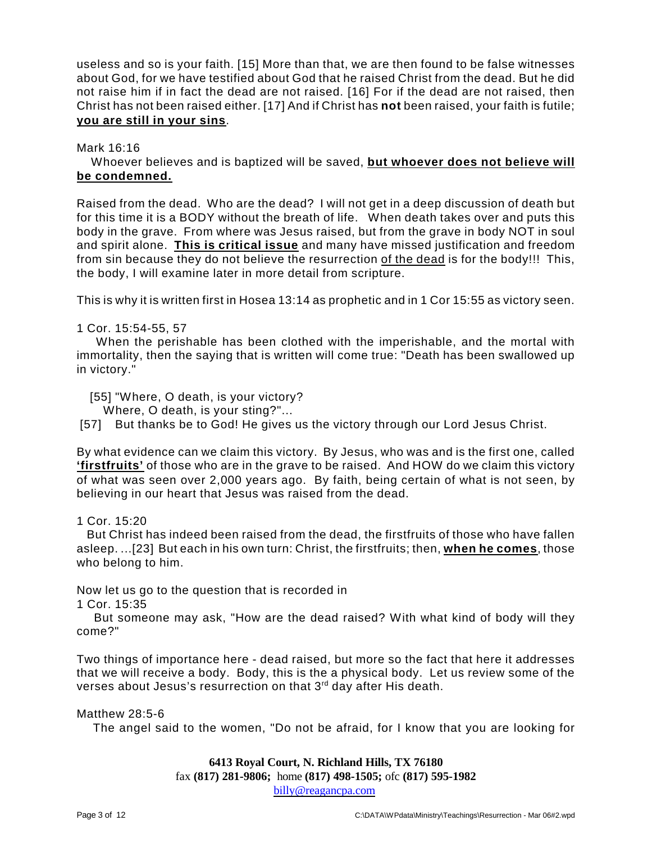useless and so is your faith. [15] More than that, we are then found to be false witnesses about God, for we have testified about God that he raised Christ from the dead. But he did not raise him if in fact the dead are not raised. [16] For if the dead are not raised, then Christ has not been raised either. [17] And if Christ has **not** been raised, your faith is futile; **you are still in your sins**.

Mark 16:16

Whoever believes and is baptized will be saved, **but whoever does not believe will be condemned.**

Raised from the dead. Who are the dead? I will not get in a deep discussion of death but for this time it is a BODY without the breath of life. When death takes over and puts this body in the grave. From where was Jesus raised, but from the grave in body NOT in soul and spirit alone. **This is critical issue** and many have missed justification and freedom from sin because they do not believe the resurrection of the dead is for the body!!! This, the body, I will examine later in more detail from scripture.

This is why it is written first in Hosea 13:14 as prophetic and in 1 Cor 15:55 as victory seen.

# 1 Cor. 15:54-55, 57

When the perishable has been clothed with the imperishable, and the mortal with immortality, then the saying that is written will come true: "Death has been swallowed up in victory."

[55] "Where, O death, is your victory?

Where, O death, is your sting?"...

[57] But thanks be to God! He gives us the victory through our Lord Jesus Christ.

By what evidence can we claim this victory. By Jesus, who was and is the first one, called **'firstfruits'** of those who are in the grave to be raised. And HOW do we claim this victory of what was seen over 2,000 years ago. By faith, being certain of what is not seen, by believing in our heart that Jesus was raised from the dead.

# 1 Cor. 15:20

But Christ has indeed been raised from the dead, the firstfruits of those who have fallen asleep. ...[23] But each in his own turn: Christ, the firstfruits; then, **when he comes**, those who belong to him.

Now let us go to the question that is recorded in

1 Cor. 15:35

But someone may ask, "How are the dead raised? With what kind of body will they come?"

Two things of importance here - dead raised, but more so the fact that here it addresses that we will receive a body. Body, this is the a physical body. Let us review some of the verses about Jesus's resurrection on that 3rd day after His death.

# Matthew 28:5-6

The angel said to the women, "Do not be afraid, for I know that you are looking for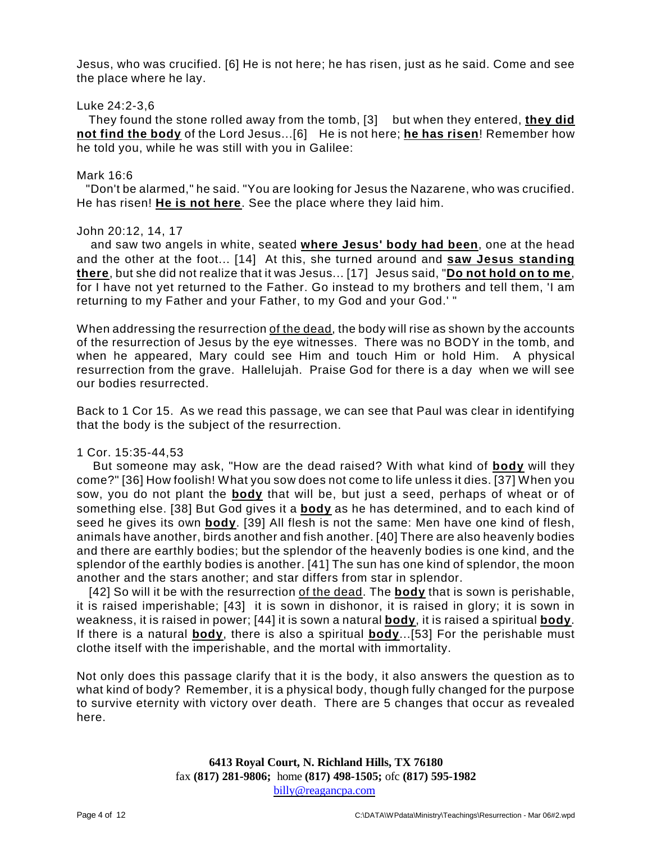Jesus, who was crucified. [6] He is not here; he has risen, just as he said. Come and see the place where he lay.

## Luke 24:2-3,6

They found the stone rolled away from the tomb, [3] but when they entered, **they did not find the body** of the Lord Jesus...[6] He is not here; **he has risen**! Remember how he told you, while he was still with you in Galilee:

### Mark 16:6

"Don't be alarmed," he said. "You are looking for Jesus the Nazarene, who was crucified. He has risen! **He is not here**. See the place where they laid him.

### John 20:12, 14, 17

and saw two angels in white, seated **where Jesus' body had been**, one at the head and the other at the foot... [14] At this, she turned around and **saw Jesus standing there**, but she did not realize that it was Jesus... [17] Jesus said, "**Do not hold on to me**, for I have not yet returned to the Father. Go instead to my brothers and tell them, 'I am returning to my Father and your Father, to my God and your God.' "

When addressing the resurrection of the dead, the body will rise as shown by the accounts of the resurrection of Jesus by the eye witnesses. There was no BODY in the tomb, and when he appeared, Mary could see Him and touch Him or hold Him. A physical resurrection from the grave. Hallelujah. Praise God for there is a day when we will see our bodies resurrected.

Back to 1 Cor 15. As we read this passage, we can see that Paul was clear in identifying that the body is the subject of the resurrection.

### 1 Cor. 15:35-44,53

But someone may ask, "How are the dead raised? With what kind of **body** will they come?" [36] How foolish! What you sow does not come to life unless it dies. [37] When you sow, you do not plant the **body** that will be, but just a seed, perhaps of wheat or of something else. [38] But God gives it a **body** as he has determined, and to each kind of seed he gives its own **body**. [39] All flesh is not the same: Men have one kind of flesh, animals have another, birds another and fish another. [40] There are also heavenly bodies and there are earthly bodies; but the splendor of the heavenly bodies is one kind, and the splendor of the earthly bodies is another. [41] The sun has one kind of splendor, the moon another and the stars another; and star differs from star in splendor.

[42] So will it be with the resurrection of the dead. The **body** that is sown is perishable, it is raised imperishable; [43] it is sown in dishonor, it is raised in glory; it is sown in weakness, it is raised in power; [44] it is sown a natural **body**, it is raised a spiritual **body**. If there is a natural **body**, there is also a spiritual **body**...[53] For the perishable must clothe itself with the imperishable, and the mortal with immortality.

Not only does this passage clarify that it is the body, it also answers the question as to what kind of body? Remember, it is a physical body, though fully changed for the purpose to survive eternity with victory over death. There are 5 changes that occur as revealed here.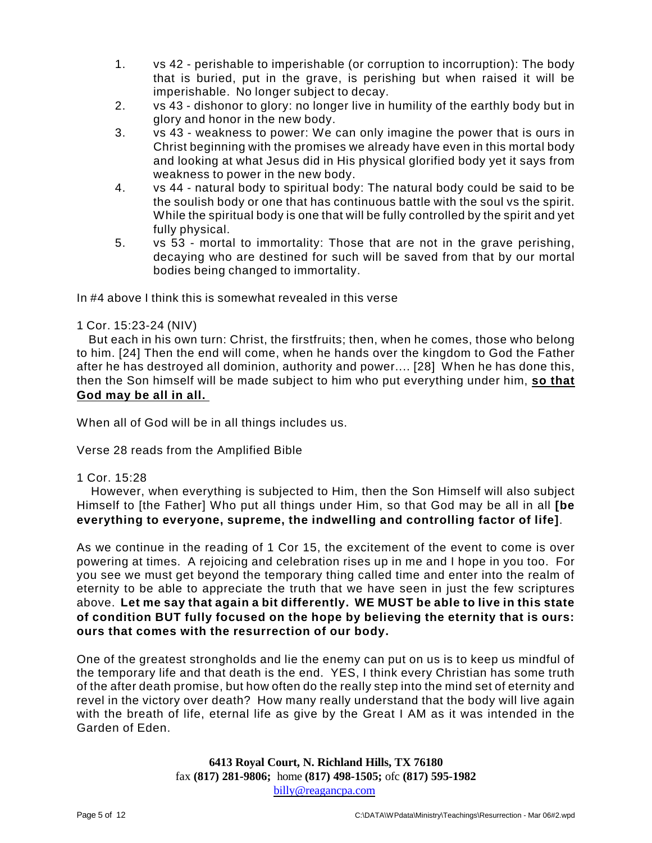- 1. vs 42 perishable to imperishable (or corruption to incorruption): The body that is buried, put in the grave, is perishing but when raised it will be imperishable. No longer subject to decay.
- 2. vs 43 dishonor to glory: no longer live in humility of the earthly body but in glory and honor in the new body.
- 3. vs 43 weakness to power: We can only imagine the power that is ours in Christ beginning with the promises we already have even in this mortal body and looking at what Jesus did in His physical glorified body yet it says from weakness to power in the new body.
- 4. vs 44 natural body to spiritual body: The natural body could be said to be the soulish body or one that has continuous battle with the soul vs the spirit. While the spiritual body is one that will be fully controlled by the spirit and yet fully physical.
- 5. vs 53 mortal to immortality: Those that are not in the grave perishing, decaying who are destined for such will be saved from that by our mortal bodies being changed to immortality.

In #4 above I think this is somewhat revealed in this verse

# 1 Cor. 15:23-24 (NIV)

But each in his own turn: Christ, the firstfruits; then, when he comes, those who belong to him. [24] Then the end will come, when he hands over the kingdom to God the Father after he has destroyed all dominion, authority and power.... [28] When he has done this, then the Son himself will be made subject to him who put everything under him, **so that God may be all in all.** 

When all of God will be in all things includes us.

Verse 28 reads from the Amplified Bible

1 Cor. 15:28

However, when everything is subjected to Him, then the Son Himself will also subject Himself to [the Father] Who put all things under Him, so that God may be all in all **[be everything to everyone, supreme, the indwelling and controlling factor of life]**.

As we continue in the reading of 1 Cor 15, the excitement of the event to come is over powering at times. A rejoicing and celebration rises up in me and I hope in you too. For you see we must get beyond the temporary thing called time and enter into the realm of eternity to be able to appreciate the truth that we have seen in just the few scriptures above. **Let me say that again a bit differently. WE MUST be able to live in this state of condition BUT fully focused on the hope by believing the eternity that is ours: ours that comes with the resurrection of our body.**

One of the greatest strongholds and lie the enemy can put on us is to keep us mindful of the temporary life and that death is the end. YES, I think every Christian has some truth of the after death promise, but how often do the really step into the mind set of eternity and revel in the victory over death? How many really understand that the body will live again with the breath of life, eternal life as give by the Great I AM as it was intended in the Garden of Eden.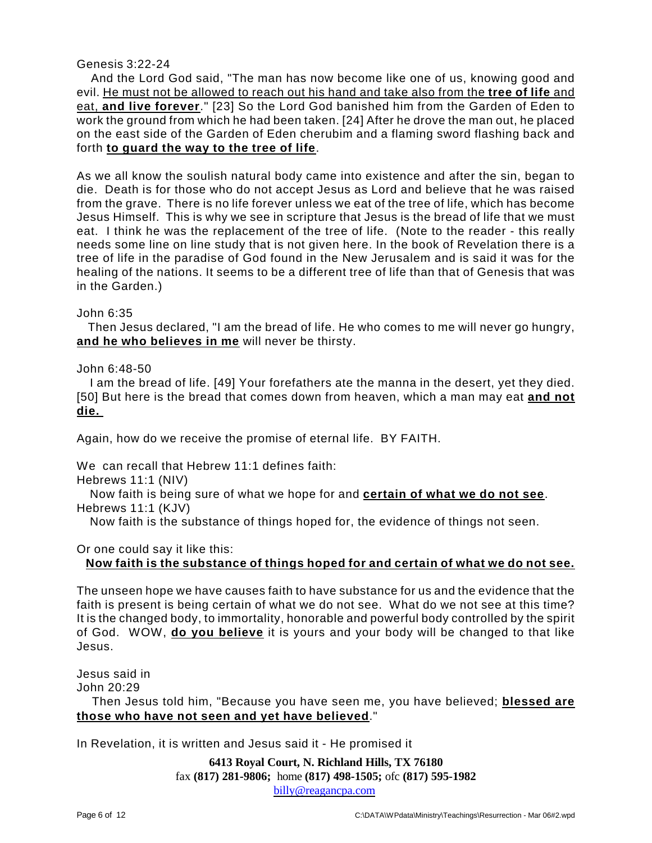# Genesis 3:22-24

And the Lord God said, "The man has now become like one of us, knowing good and evil. He must not be allowed to reach out his hand and take also from the **tree of life** and eat, **and live forever**." [23] So the Lord God banished him from the Garden of Eden to work the ground from which he had been taken. [24] After he drove the man out, he placed on the east side of the Garden of Eden cherubim and a flaming sword flashing back and forth **to guard the way to the tree of life**.

As we all know the soulish natural body came into existence and after the sin, began to die. Death is for those who do not accept Jesus as Lord and believe that he was raised from the grave. There is no life forever unless we eat of the tree of life, which has become Jesus Himself. This is why we see in scripture that Jesus is the bread of life that we must eat. I think he was the replacement of the tree of life. (Note to the reader - this really needs some line on line study that is not given here. In the book of Revelation there is a tree of life in the paradise of God found in the New Jerusalem and is said it was for the healing of the nations. It seems to be a different tree of life than that of Genesis that was in the Garden.)

### John 6:35

Then Jesus declared, "I am the bread of life. He who comes to me will never go hungry, **and he who believes in me** will never be thirsty.

John 6:48-50

I am the bread of life. [49] Your forefathers ate the manna in the desert, yet they died. [50] But here is the bread that comes down from heaven, which a man may eat **and not die.** 

Again, how do we receive the promise of eternal life. BY FAITH.

We can recall that Hebrew 11:1 defines faith:

Hebrews 11:1 (NIV)

Now faith is being sure of what we hope for and **certain of what we do not see**. Hebrews 11:1 (KJV)

Now faith is the substance of things hoped for, the evidence of things not seen.

Or one could say it like this:

# **Now faith is the substance of things hoped for and certain of what we do not see.**

The unseen hope we have causes faith to have substance for us and the evidence that the faith is present is being certain of what we do not see. What do we not see at this time? It is the changed body, to immortality, honorable and powerful body controlled by the spirit of God. WOW, **do you believe** it is yours and your body will be changed to that like Jesus.

Jesus said in

John 20:29

Then Jesus told him, "Because you have seen me, you have believed; **blessed are those who have not seen and yet have believed**."

In Revelation, it is written and Jesus said it - He promised it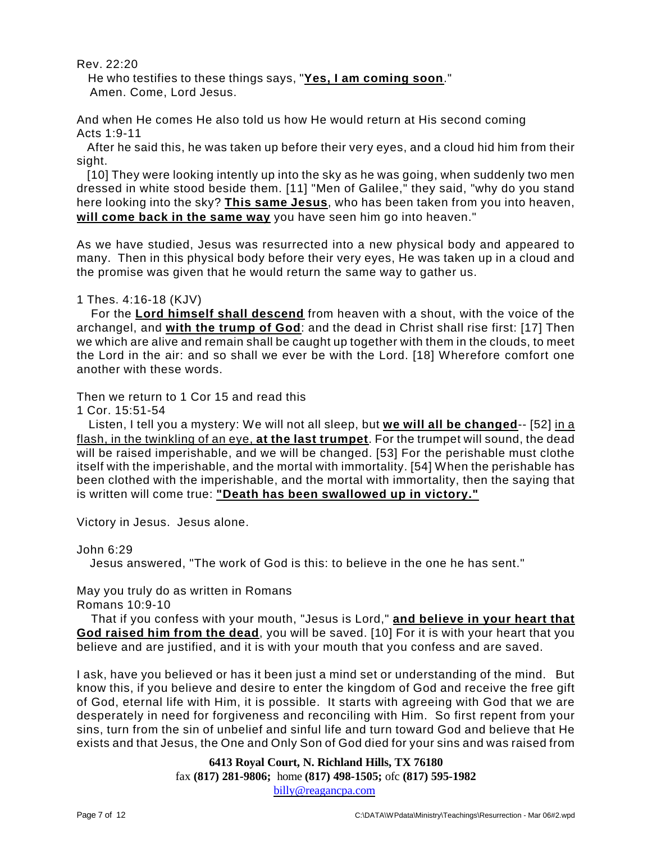Rev. 22:20

He who testifies to these things says, "**Yes, I am coming soon**." Amen. Come, Lord Jesus.

And when He comes He also told us how He would return at His second coming Acts 1:9-11

After he said this, he was taken up before their very eyes, and a cloud hid him from their sight.

[10] They were looking intently up into the sky as he was going, when suddenly two men dressed in white stood beside them. [11] "Men of Galilee," they said, "why do you stand here looking into the sky? **This same Jesus**, who has been taken from you into heaven, **will come back in the same way** you have seen him go into heaven."

As we have studied, Jesus was resurrected into a new physical body and appeared to many. Then in this physical body before their very eyes, He was taken up in a cloud and the promise was given that he would return the same way to gather us.

1 Thes. 4:16-18 (KJV)

For the **Lord himself shall descend** from heaven with a shout, with the voice of the archangel, and **with the trump of God**: and the dead in Christ shall rise first: [17] Then we which are alive and remain shall be caught up together with them in the clouds, to meet the Lord in the air: and so shall we ever be with the Lord. [18] Wherefore comfort one another with these words.

Then we return to 1 Cor 15 and read this

1 Cor. 15:51-54

Listen, I tell you a mystery: We will not all sleep, but **we will all be changed**-- [52] in a flash, in the twinkling of an eye, **at the last trumpet**. For the trumpet will sound, the dead will be raised imperishable, and we will be changed. [53] For the perishable must clothe itself with the imperishable, and the mortal with immortality. [54] When the perishable has been clothed with the imperishable, and the mortal with immortality, then the saying that is written will come true: **"Death has been swallowed up in victory."**

Victory in Jesus. Jesus alone.

John 6:29

Jesus answered, "The work of God is this: to believe in the one he has sent."

May you truly do as written in Romans

Romans 10:9-10

That if you confess with your mouth, "Jesus is Lord," **and believe in your heart that God raised him from the dead**, you will be saved. [10] For it is with your heart that you believe and are justified, and it is with your mouth that you confess and are saved.

I ask, have you believed or has it been just a mind set or understanding of the mind. But know this, if you believe and desire to enter the kingdom of God and receive the free gift of God, eternal life with Him, it is possible. It starts with agreeing with God that we are desperately in need for forgiveness and reconciling with Him. So first repent from your sins, turn from the sin of unbelief and sinful life and turn toward God and believe that He exists and that Jesus, the One and Only Son of God died for your sins and was raised from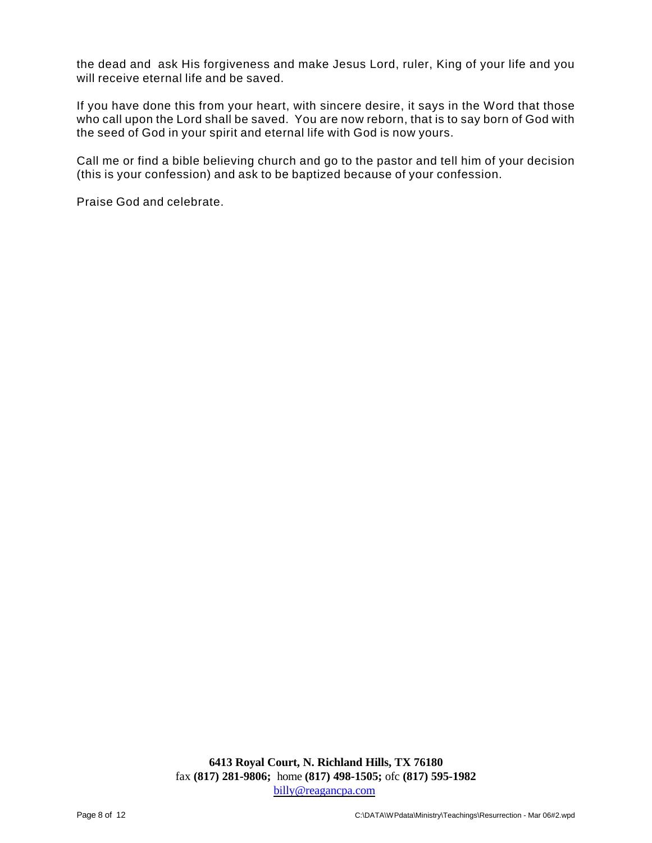the dead and ask His forgiveness and make Jesus Lord, ruler, King of your life and you will receive eternal life and be saved.

If you have done this from your heart, with sincere desire, it says in the Word that those who call upon the Lord shall be saved. You are now reborn, that is to say born of God with the seed of God in your spirit and eternal life with God is now yours.

Call me or find a bible believing church and go to the pastor and tell him of your decision (this is your confession) and ask to be baptized because of your confession.

Praise God and celebrate.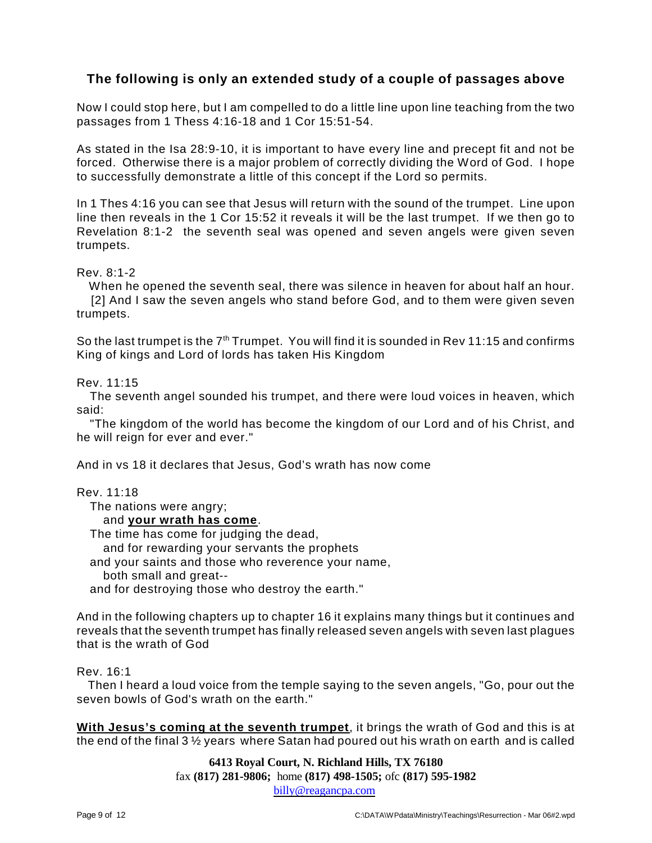# **The following is only an extended study of a couple of passages above**

Now I could stop here, but I am compelled to do a little line upon line teaching from the two passages from 1 Thess 4:16-18 and 1 Cor 15:51-54.

As stated in the Isa 28:9-10, it is important to have every line and precept fit and not be forced. Otherwise there is a major problem of correctly dividing the Word of God. I hope to successfully demonstrate a little of this concept if the Lord so permits.

In 1 Thes 4:16 you can see that Jesus will return with the sound of the trumpet. Line upon line then reveals in the 1 Cor 15:52 it reveals it will be the last trumpet. If we then go to Revelation 8:1-2 the seventh seal was opened and seven angels were given seven trumpets.

Rev. 8:1-2

When he opened the seventh seal, there was silence in heaven for about half an hour. [2] And I saw the seven angels who stand before God, and to them were given seven trumpets.

So the last trumpet is the  $7<sup>th</sup>$  Trumpet. You will find it is sounded in Rev 11:15 and confirms King of kings and Lord of lords has taken His Kingdom

Rev. 11:15

The seventh angel sounded his trumpet, and there were loud voices in heaven, which said:

"The kingdom of the world has become the kingdom of our Lord and of his Christ, and he will reign for ever and ever."

And in vs 18 it declares that Jesus, God's wrath has now come

Rev. 11:18

The nations were angry;

### and **your wrath has come**.

The time has come for judging the dead,

and for rewarding your servants the prophets

and your saints and those who reverence your name,

both small and great--

and for destroying those who destroy the earth."

And in the following chapters up to chapter 16 it explains many things but it continues and reveals that the seventh trumpet has finally released seven angels with seven last plagues that is the wrath of God

Rev. 16:1

Then I heard a loud voice from the temple saying to the seven angels, "Go, pour out the seven bowls of God's wrath on the earth."

**With Jesus's coming at the seventh trumpet**, it brings the wrath of God and this is at the end of the final 3 ½ years where Satan had poured out his wrath on earth and is called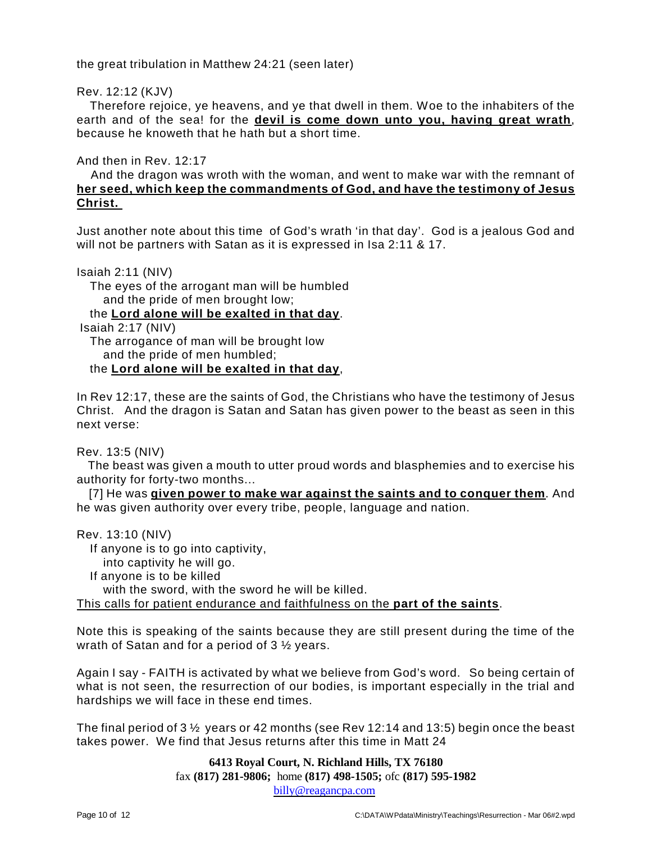the great tribulation in Matthew 24:21 (seen later)

Rev. 12:12 (KJV)

Therefore rejoice, ye heavens, and ye that dwell in them. Woe to the inhabiters of the earth and of the sea! for the **devil is come down unto you, having great wrath**, because he knoweth that he hath but a short time.

And then in Rev. 12:17

And the dragon was wroth with the woman, and went to make war with the remnant of **her seed, which keep the commandments of God, and have the testimony of Jesus Christ.** 

Just another note about this time of God's wrath 'in that day'. God is a jealous God and will not be partners with Satan as it is expressed in Isa 2:11 & 17.

Isaiah 2:11 (NIV)

The eyes of the arrogant man will be humbled and the pride of men brought low;

the **Lord alone will be exalted in that day**.

Isaiah 2:17 (NIV)

The arrogance of man will be brought low and the pride of men humbled;

the **Lord alone will be exalted in that day**,

In Rev 12:17, these are the saints of God, the Christians who have the testimony of Jesus Christ. And the dragon is Satan and Satan has given power to the beast as seen in this next verse:

Rev. 13:5 (NIV)

The beast was given a mouth to utter proud words and blasphemies and to exercise his authority for forty-two months...

[7] He was **given power to make war against the saints and to conquer them**. And he was given authority over every tribe, people, language and nation.

Rev. 13:10 (NIV) If anyone is to go into captivity, into captivity he will go. If anyone is to be killed with the sword, with the sword he will be killed. This calls for patient endurance and faithfulness on the **part of the saints**.

Note this is speaking of the saints because they are still present during the time of the wrath of Satan and for a period of 3 ½ years.

Again I say - FAITH is activated by what we believe from God's word. So being certain of what is not seen, the resurrection of our bodies, is important especially in the trial and hardships we will face in these end times.

The final period of 3 ½ years or 42 months (see Rev 12:14 and 13:5) begin once the beast takes power. We find that Jesus returns after this time in Matt 24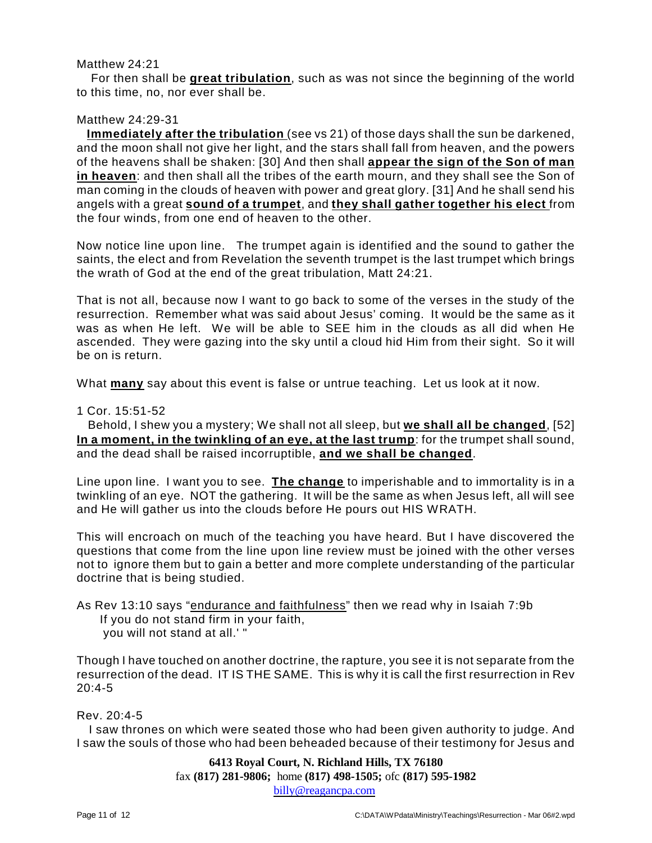### Matthew 24:21

For then shall be **great tribulation**, such as was not since the beginning of the world to this time, no, nor ever shall be.

# Matthew 24:29-31

**Immediately after the tribulation** (see vs 21) of those days shall the sun be darkened, and the moon shall not give her light, and the stars shall fall from heaven, and the powers of the heavens shall be shaken: [30] And then shall **appear the sign of the Son of man in heaven**: and then shall all the tribes of the earth mourn, and they shall see the Son of man coming in the clouds of heaven with power and great glory. [31] And he shall send his angels with a great **sound of a trumpet**, and **they shall gather together his elect** from the four winds, from one end of heaven to the other.

Now notice line upon line. The trumpet again is identified and the sound to gather the saints, the elect and from Revelation the seventh trumpet is the last trumpet which brings the wrath of God at the end of the great tribulation, Matt 24:21.

That is not all, because now I want to go back to some of the verses in the study of the resurrection. Remember what was said about Jesus' coming. It would be the same as it was as when He left. We will be able to SEE him in the clouds as all did when He ascended. They were gazing into the sky until a cloud hid Him from their sight. So it will be on is return.

What **many** say about this event is false or untrue teaching. Let us look at it now.

1 Cor. 15:51-52

Behold, I shew you a mystery; We shall not all sleep, but **we shall all be changed**, [52] **In a moment, in the twinkling of an eye, at the last trump**: for the trumpet shall sound, and the dead shall be raised incorruptible, **and we shall be changed**.

Line upon line. I want you to see. **The change** to imperishable and to immortality is in a twinkling of an eye. NOT the gathering. It will be the same as when Jesus left, all will see and He will gather us into the clouds before He pours out HIS WRATH.

This will encroach on much of the teaching you have heard. But I have discovered the questions that come from the line upon line review must be joined with the other verses not to ignore them but to gain a better and more complete understanding of the particular doctrine that is being studied.

```
As Rev 13:10 says "endurance and faithfulness" then we read why in Isaiah 7:9b
If you do not stand firm in your faith,
you will not stand at all.' "
```
Though I have touched on another doctrine, the rapture, you see it is not separate from the resurrection of the dead. IT IS THE SAME. This is why it is call the first resurrection in Rev  $20.4 - 5$ 

# Rev. 20:4-5

I saw thrones on which were seated those who had been given authority to judge. And I saw the souls of those who had been beheaded because of their testimony for Jesus and